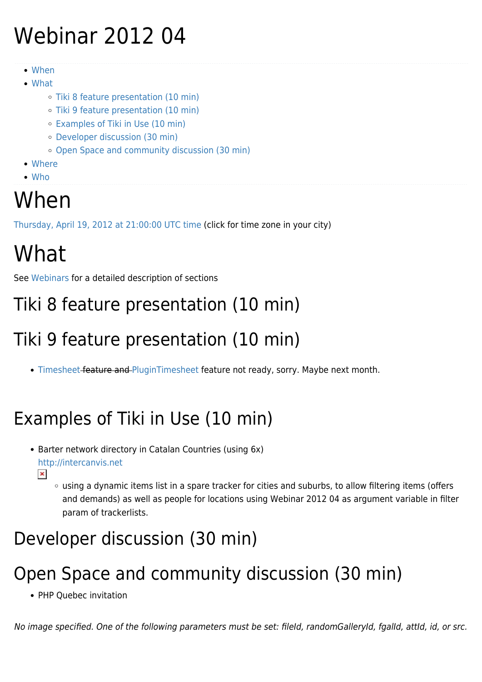# Webinar 2012 04

- [When](#page--1-0)
- [What](#page--1-0)
	- [Tiki 8 feature presentation \(10 min\)](#page--1-0)
	- [Tiki 9 feature presentation \(10 min\)](#page--1-0)
	- [Examples of Tiki in Use \(10 min\)](#page--1-0)
	- [Developer discussion \(30 min\)](#page--1-0)
	- [Open Space and community discussion \(30 min\)](#page--1-0)
- [Where](#page--1-0)
- [Who](#page--1-0)

## When

[Thursday, April 19, 2012 at 21:00:00 UTC time](http://www.timeanddate.com/worldclock/fixedtime.html?year=2012&month=4&day=19&hour=21&min=0&sec=0) (click for time zone in your city)

# What

See [Webinars](https://tiki.org/Roundtable-Meetings) for a detailed description of sections

#### Tiki 8 feature presentation (10 min)

#### Tiki 9 feature presentation (10 min)

• [Timesheet](http://doc.tiki.org/Timesheet)-feature and [PluginTimesheet](http://doc.tiki.org/PluginTimesheet) feature not ready, sorry. Maybe next month.

## Examples of Tiki in Use (10 min)

- Barter network directory in Catalan Countries (using 6x) <http://intercanvis.net>  $\pmb{\times}$ 
	- using a dynamic items list in a spare tracker for cities and suburbs, to allow filtering items (offers and demands) as well as people for locations using Webinar 2012 04 as argument variable in filter param of trackerlists.

#### Developer discussion (30 min)

#### Open Space and community discussion (30 min)

• PHP Ouebec invitation

No image specified. One of the following parameters must be set: fileId, randomGalleryId, fgalId, attId, id, or src.